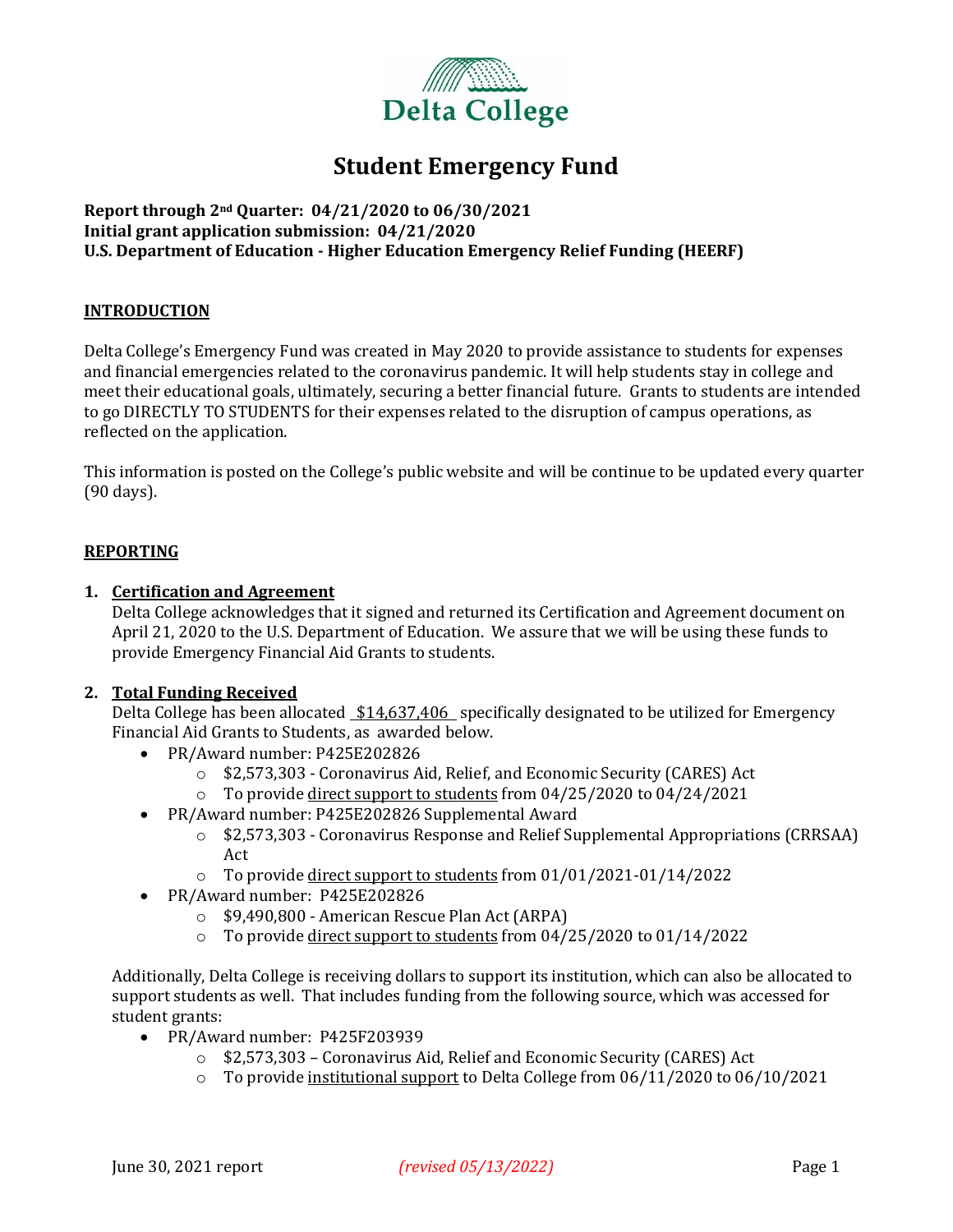

### **Student Emergency Fund**

### **Report through 2nd Quarter: 04/21/2020 to 06/30/2021 Initial grant application submission: 04/21/2020 U.S. Department of Education - Higher Education Emergency Relief Funding (HEERF)**

### **INTRODUCTION**

Delta College's Emergency Fund was created in May 2020 to provide assistance to students for expenses and financial emergencies related to the coronavirus pandemic. It will help students stay in college and meet their educational goals, ultimately, securing a better financial future. Grants to students are intended to go DIRECTLY TO STUDENTS for their expenses related to the disruption of campus operations, as reflected on the application.

This information is posted on the College's public website and will be continue to be updated every quarter (90 days).

### **REPORTING**

### **1. Certification and Agreement**

Delta College acknowledges that it signed and returned its Certification and Agreement document on April 21, 2020 to the U.S. Department of Education. We assure that we will be using these funds to provide Emergency Financial Aid Grants to students.

### **2. Total Funding Received**

Delta College has been allocated  $$14,637,406$  specifically designated to be utilized for Emergency Financial Aid Grants to Students, as awarded below.

- PR/Award number: P425E202826
	- o \$2,573,303 Coronavirus Aid, Relief, and Economic Security (CARES) Act
	- o To provide direct support to students from 04/25/2020 to 04/24/2021
- PR/Award number: P425E202826 Supplemental Award
	- o \$2,573,303 Coronavirus Response and Relief Supplemental Appropriations (CRRSAA) Act
	- o To provide direct support to students from 01/01/2021-01/14/2022
- PR/Award number: P425E202826
	- o \$9,490,800 American Rescue Plan Act (ARPA)
	- o To provide direct support to students from 04/25/2020 to 01/14/2022

Additionally, Delta College is receiving dollars to support its institution, which can also be allocated to support students as well. That includes funding from the following source, which was accessed for student grants:

- PR/Award number: P425F203939
	- o \$2,573,303 Coronavirus Aid, Relief and Economic Security (CARES) Act
	- o To provide institutional support to Delta College from 06/11/2020 to 06/10/2021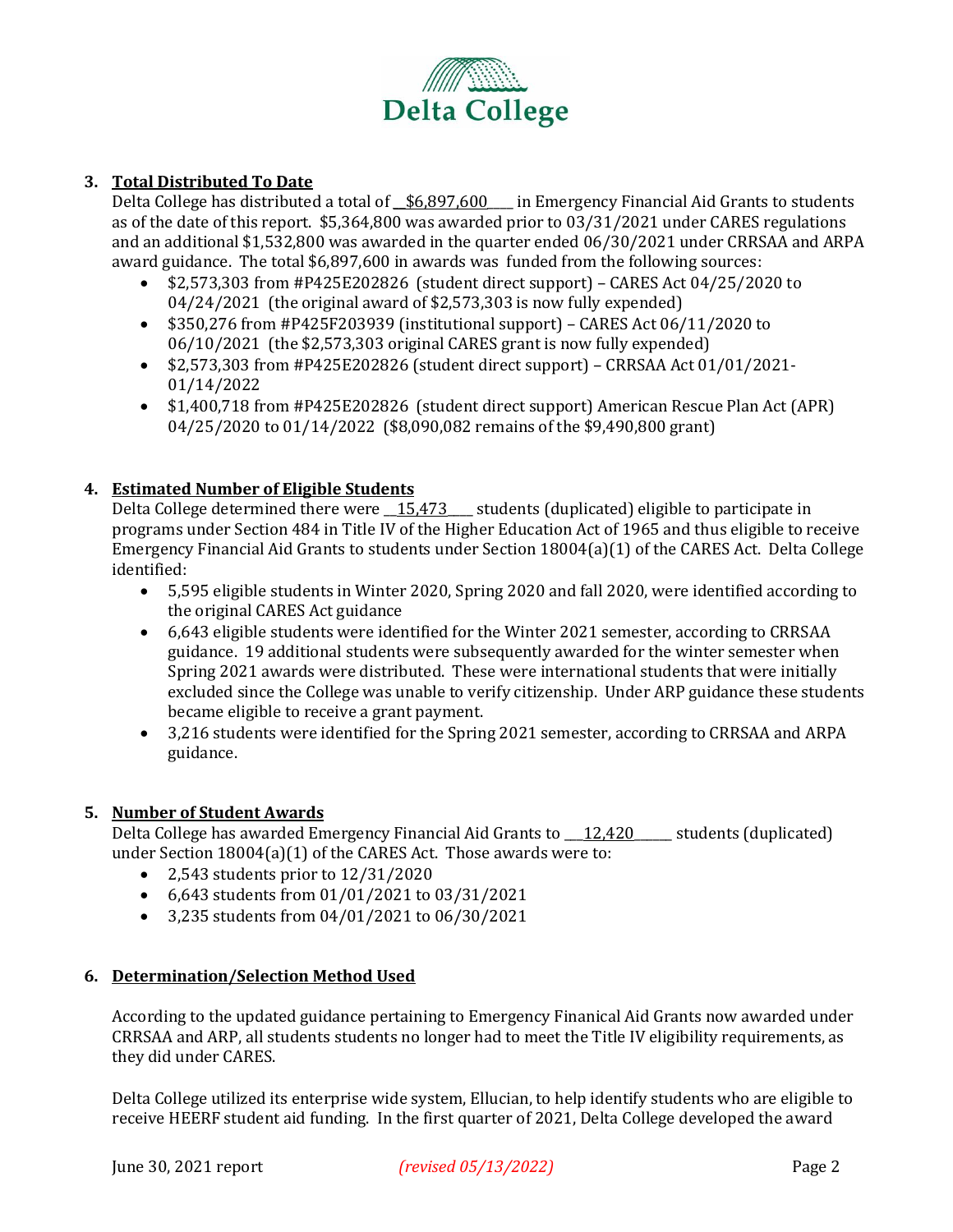

### **3. Total Distributed To Date**

Delta College has distributed a total of  $$6,897,600$  in Emergency Financial Aid Grants to students as of the date of this report. \$5,364,800 was awarded prior to 03/31/2021 under CARES regulations and an additional \$1,532,800 was awarded in the quarter ended 06/30/2021 under CRRSAA and ARPA award guidance. The total \$6,897,600 in awards was funded from the following sources:

- \$2,573,303 from #P425E202826 (student direct support) CARES Act 04/25/2020 to 04/24/2021 (the original award of \$2,573,303 is now fully expended)
- \$350,276 from #P425F203939 (institutional support) CARES Act 06/11/2020 to 06/10/2021 (the \$2,573,303 original CARES grant is now fully expended)
- \$2,573,303 from #P425E202826 (student direct support) CRRSAA Act 01/01/2021- 01/14/2022
- \$1,400,718 from #P425E202826 (student direct support) American Rescue Plan Act (APR) 04/25/2020 to 01/14/2022 (\$8,090,082 remains of the \$9,490,800 grant)

### **4. Estimated Number of Eligible Students**

Delta College determined there were  $\frac{15,473}{\sqrt{15,473}}$  students (duplicated) eligible to participate in programs under Section 484 in Title IV of the Higher Education Act of 1965 and thus eligible to receive Emergency Financial Aid Grants to students under Section 18004(a)(1) of the CARES Act. Delta College identified:

- 5,595 eligible students in Winter 2020, Spring 2020 and fall 2020, were identified according to the original CARES Act guidance
- 6,643 eligible students were identified for the Winter 2021 semester, according to CRRSAA guidance. 19 additional students were subsequently awarded for the winter semester when Spring 2021 awards were distributed. These were international students that were initially excluded since the College was unable to verify citizenship. Under ARP guidance these students became eligible to receive a grant payment.
- 3,216 students were identified for the Spring 2021 semester, according to CRRSAA and ARPA guidance.

### **5. Number of Student Awards**

Delta College has awarded Emergency Financial Aid Grants to \_\_12,420\_\_\_\_\_ students (duplicated) under Section 18004(a)(1) of the CARES Act. Those awards were to:

- 2,543 students prior to 12/31/2020
- 6,643 students from 01/01/2021 to 03/31/2021
- 3,235 students from 04/01/2021 to 06/30/2021

### **6. Determination/Selection Method Used**

According to the updated guidance pertaining to Emergency Finanical Aid Grants now awarded under CRRSAA and ARP, all students students no longer had to meet the Title IV eligibility requirements, as they did under CARES.

Delta College utilized its enterprise wide system, Ellucian, to help identify students who are eligible to receive HEERF student aid funding. In the first quarter of 2021, Delta College developed the award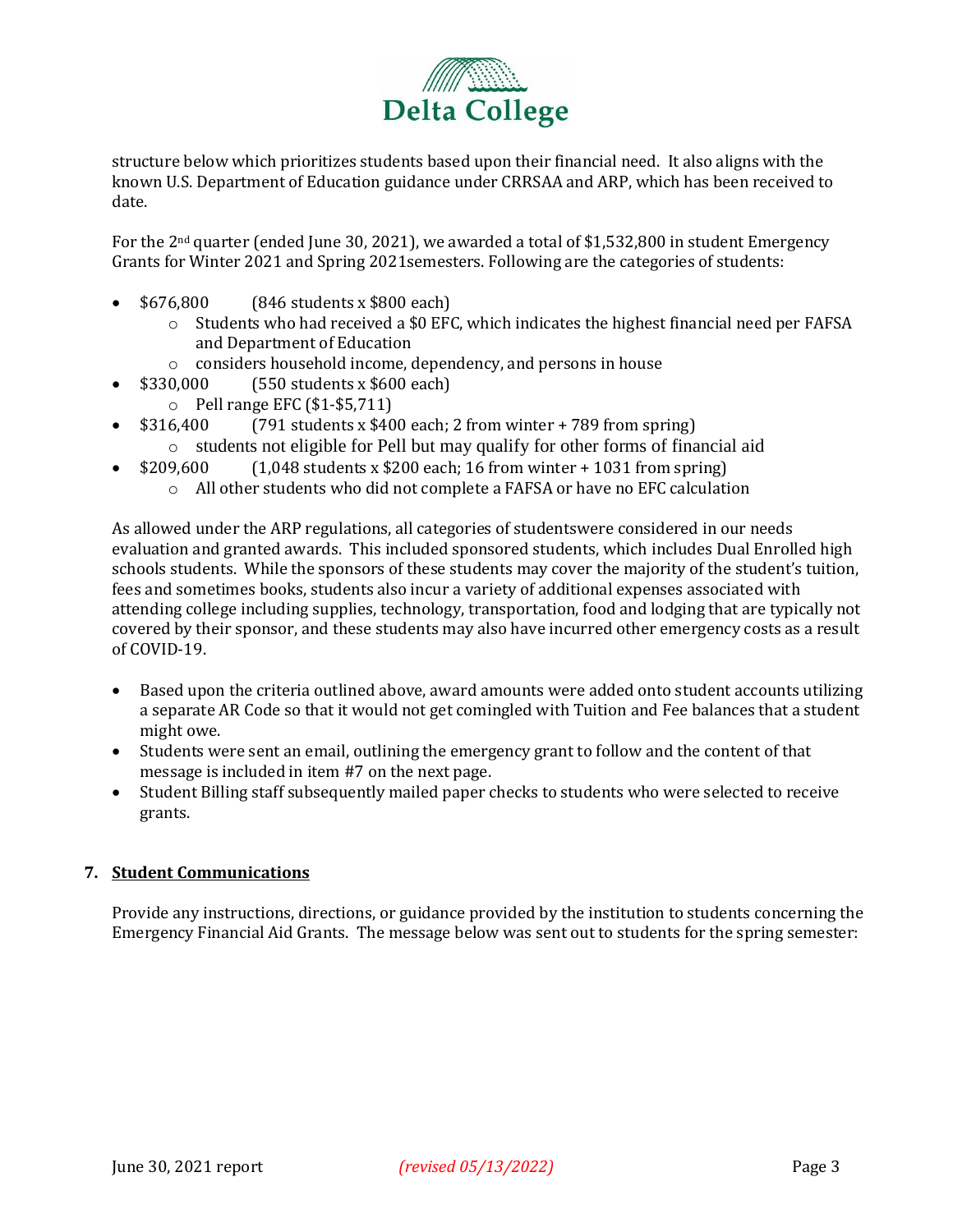

structure below which prioritizes students based upon their financial need. It also aligns with the known U.S. Department of Education guidance under CRRSAA and ARP, which has been received to date.

For the 2nd quarter (ended June 30, 2021), we awarded a total of \$1,532,800 in student Emergency Grants for Winter 2021 and Spring 2021semesters. Following are the categories of students:

- \$676,800 (846 students x \$800 each)
	- $\circ$  Students who had received a \$0 EFC, which indicates the highest financial need per FAFSA and Department of Education
	- o considers household income, dependency, and persons in house
- \$330,000 (550 students x \$600 each)
	- o Pell range EFC (\$1-\$5,711)
- $$316,400$  (791 students x \$400 each; 2 from winter + 789 from spring)
	- $\circ$  students not eligible for Pell but may qualify for other forms of financial aid
	- \$209,600  $(1,048 \text{ students} \times $200 \text{ each}; 16 \text{ from winter} + 1031 \text{ from spring})$ 
		- o All other students who did not complete a FAFSA or have no EFC calculation

As allowed under the ARP regulations, all categories of studentswere considered in our needs evaluation and granted awards. This included sponsored students, which includes Dual Enrolled high schools students. While the sponsors of these students may cover the majority of the student's tuition, fees and sometimes books, students also incur a variety of additional expenses associated with attending college including supplies, technology, transportation, food and lodging that are typically not covered by their sponsor, and these students may also have incurred other emergency costs as a result of COVID-19.

- Based upon the criteria outlined above, award amounts were added onto student accounts utilizing a separate AR Code so that it would not get comingled with Tuition and Fee balances that a student might owe.
- Students were sent an email, outlining the emergency grant to follow and the content of that message is included in item #7 on the next page.
- Student Billing staff subsequently mailed paper checks to students who were selected to receive grants.

### **7. Student Communications**

Provide any instructions, directions, or guidance provided by the institution to students concerning the Emergency Financial Aid Grants. The message below was sent out to students for the spring semester: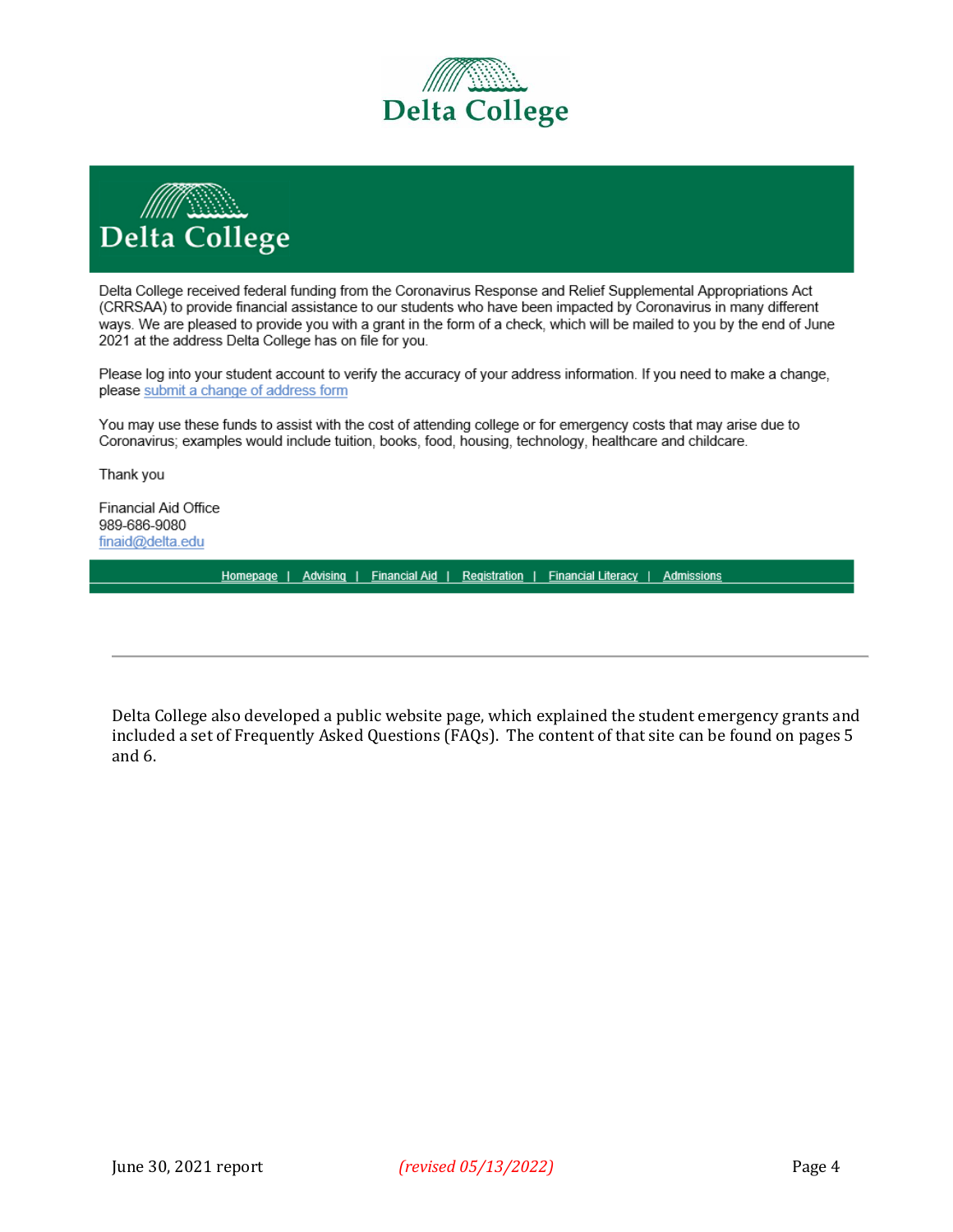



Delta College received federal funding from the Coronavirus Response and Relief Supplemental Appropriations Act (CRRSAA) to provide financial assistance to our students who have been impacted by Coronavirus in many different ways. We are pleased to provide you with a grant in the form of a check, which will be mailed to you by the end of June 2021 at the address Delta College has on file for you.

Please log into your student account to verify the accuracy of your address information. If you need to make a change, please submit a change of address form

You may use these funds to assist with the cost of attending college or for emergency costs that may arise due to Coronavirus; examples would include tuition, books, food, housing, technology, healthcare and childcare.

Thank you

Financial Aid Office 989-686-9080 finaid@delta.edu

Homepage | Advising | Financial Aid | Registration | Financial Literacy | Admissions

Delta College also developed a public website page, which explained the student emergency grants and included a set of Frequently Asked Questions (FAQs). The content of that site can be found on pages 5 and 6.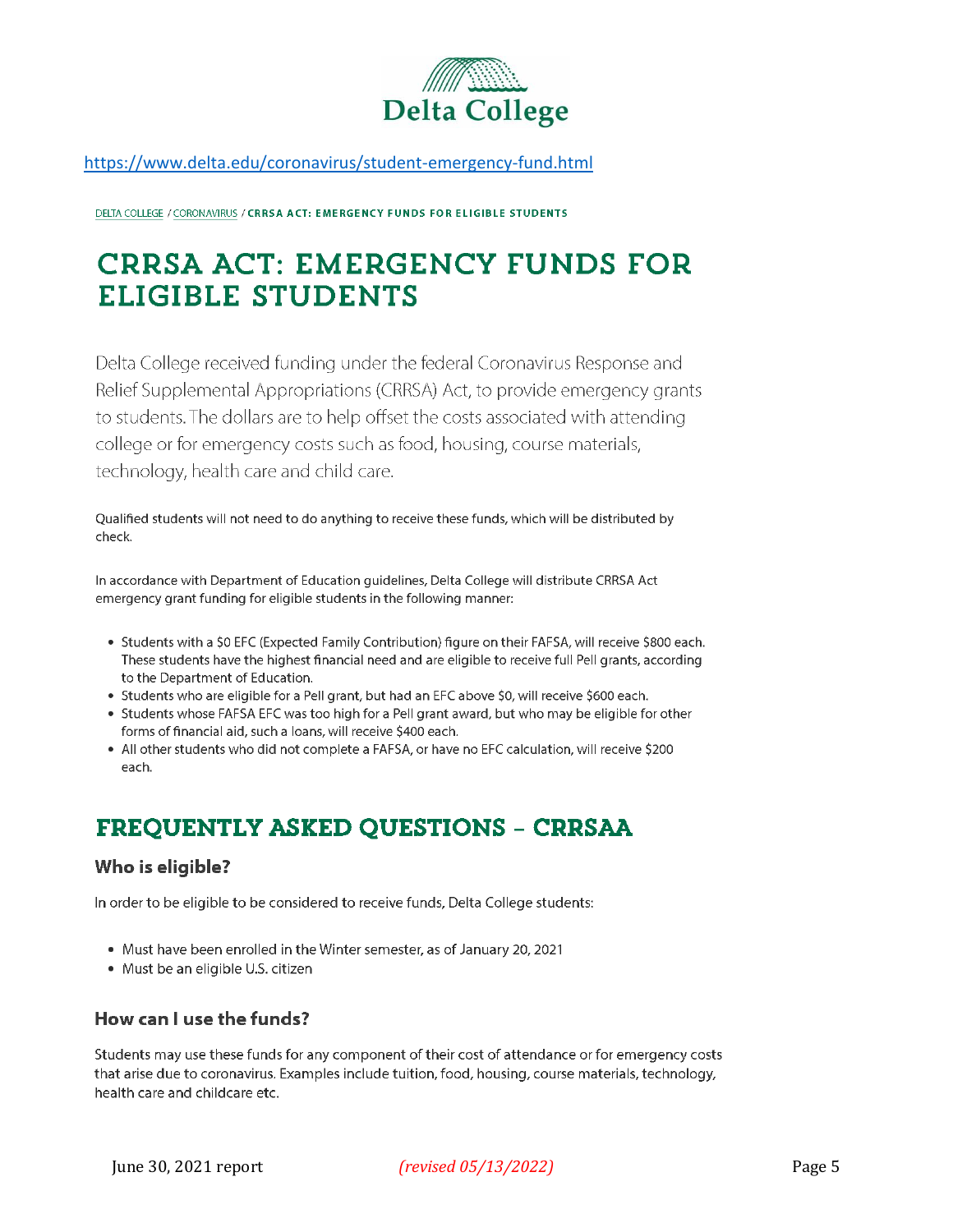

https://www.delta.edu/coronavirus/student-emergency-fund.html

DELTA COLLEGE / CORONAVIRUS / CRRSA ACT: EMERGENCY FUNDS FOR ELIGIBLE STUDENTS

# **CRRSA ACT: EMERGENCY FUNDS FOR ELIGIBLE STUDENTS**

Delta College received funding under the federal Coronavirus Response and Relief Supplemental Appropriations (CRRSA) Act, to provide emergency grants to students. The dollars are to help offset the costs associated with attending college or for emergency costs such as food, housing, course materials, technology, health care and child care.

Qualified students will not need to do anything to receive these funds, which will be distributed by check.

In accordance with Department of Education guidelines, Delta College will distribute CRRSA Act emergency grant funding for eligible students in the following manner:

- Students with a \$0 EFC (Expected Family Contribution) figure on their FAFSA, will receive \$800 each. These students have the highest financial need and are eligible to receive full Pell grants, according to the Department of Education.
- Students who are eligible for a Pell grant, but had an EFC above \$0, will receive \$600 each.
- Students whose FAFSA EFC was too high for a Pell grant award, but who may be eligible for other forms of financial aid, such a loans, will receive \$400 each.
- All other students who did not complete a FAFSA, or have no EFC calculation, will receive \$200 each.

## **FREQUENTLY ASKED QUESTIONS - CRRSAA**

### Who is eligible?

In order to be eligible to be considered to receive funds, Delta College students:

- Must have been enrolled in the Winter semester, as of January 20, 2021
- Must be an eligible U.S. citizen

### How can I use the funds?

Students may use these funds for any component of their cost of attendance or for emergency costs that arise due to coronavirus. Examples include tuition, food, housing, course materials, technology, health care and childcare etc.